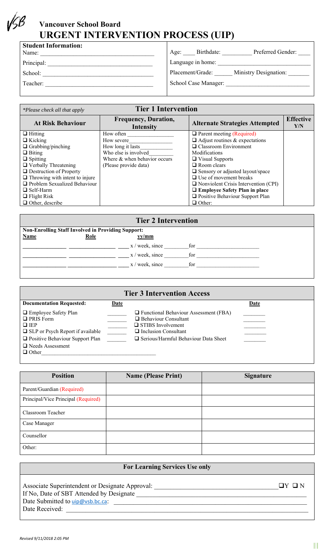## **Vancouver School Board URGENT INTERVENTION PROCESS (UIP)**

| <b>Student Information:</b><br>Name: | Preferred Gender:<br>Birthdate:<br>Age:          |
|--------------------------------------|--------------------------------------------------|
| Principal:                           | Language in home:                                |
| School:                              | <b>Ministry Designation:</b><br>Placement/Grade: |
| Teacher:                             | School Case Manager:                             |
|                                      |                                                  |

| *Please check all that apply          | <b>Tier 1 Intervention</b>               |                                             |                         |
|---------------------------------------|------------------------------------------|---------------------------------------------|-------------------------|
| <b>At Risk Behaviour</b>              | <b>Frequency, Duration,</b><br>Intensity | <b>Alternate Strategies Attempted</b>       | <b>Effective</b><br>Y/N |
| $\Box$ Hitting                        | How often                                | $\Box$ Parent meeting (Required)            |                         |
| $\Box$ Kicking                        | How severe                               | $\Box$ Adjust routines & expectations       |                         |
| $\Box$ Grabbing/pinching              | How long it lasts                        | $\Box$ Classroom Environment                |                         |
| $\Box$ Biting                         | Who else is involved                     | Modifications                               |                         |
| $\Box$ Spitting                       | Where & when behavior occurs             | $\Box$ Visual Supports                      |                         |
| $\Box$ Verbally Threatening           | (Please provide data)                    | $\Box$ Room clears                          |                         |
| $\Box$ Destruction of Property        |                                          | $\Box$ Sensory or adjusted layout/space     |                         |
| $\Box$ Throwing with intent to injure |                                          | $\Box$ Use of movement breaks               |                         |
| <b>Problem Sexualized Behaviour</b>   |                                          | $\Box$ Nonviolent Crisis Intervention (CPI) |                         |
| $\Box$ Self-Harm                      |                                          | $\Box$ Employee Safety Plan in place        |                         |
| $\Box$ Flight Risk                    |                                          | $\Box$ Positive Behaviour Support Plan      |                         |
| $\Box$ Other, describe                |                                          | $\Box$ Other:                               |                         |

|                                                           |             | <b>Tier 2 Intervention</b> |     |  |  |
|-----------------------------------------------------------|-------------|----------------------------|-----|--|--|
| <b>Non-Enrolling Staff Involved in Providing Support:</b> |             |                            |     |  |  |
| <b>Name</b>                                               | <b>Role</b> | yy/mm                      |     |  |  |
|                                                           |             | x / week, since            | for |  |  |
|                                                           |             | x / week, since            | for |  |  |
|                                                           |             | $x /$ week, since          | for |  |  |
|                                                           |             |                            |     |  |  |

|                                                                                                                                                                                          |             | <b>Tier 3 Intervention Access</b>                                                                                                                                         |             |
|------------------------------------------------------------------------------------------------------------------------------------------------------------------------------------------|-------------|---------------------------------------------------------------------------------------------------------------------------------------------------------------------------|-------------|
| <b>Documentation Requested:</b>                                                                                                                                                          | <b>Date</b> |                                                                                                                                                                           | <u>Date</u> |
| $\Box$ Employee Safety Plan<br>$\Box$ PRIS Form<br>$\Box$ IEP<br>$\Box$ SLP or Psych Report if available<br>□ Positive Behaviour Support Plan<br>$\Box$ Needs Assessment<br>$\Box$ Other |             | $\Box$ Functional Behaviour Assessment (FBA)<br>Behaviour Consultant<br>$\Box$ STIBS Involvement<br>$\Box$ Inclusion Consultant<br>□ Serious/Harmful Behaviour Data Sheet |             |

| <b>Position</b>                     | <b>Name (Please Print)</b> | <b>Signature</b> |
|-------------------------------------|----------------------------|------------------|
| Parent/Guardian (Required)          |                            |                  |
| Principal/Vice Principal (Required) |                            |                  |
| Classroom Teacher                   |                            |                  |
| Case Manager                        |                            |                  |
| Counsellor                          |                            |                  |
| Other:                              |                            |                  |

## **For Learning Services Use only**

Associate Superintendent or Designate Approval:  $\Box Y \Box N$ If No, Date of SBT Attended by Designate \_\_\_\_\_\_\_\_\_\_\_\_\_\_\_\_\_\_\_\_\_\_\_\_\_\_\_\_\_\_\_\_\_\_\_\_\_\_\_\_\_\_\_\_\_\_\_\_\_\_\_\_ Date Submitted to uip@vsb.bc.ca: \_\_\_\_\_\_\_\_\_\_\_\_\_\_\_\_\_\_\_\_\_\_\_\_\_\_\_\_\_\_\_\_\_\_\_\_\_\_\_\_\_\_\_\_\_\_\_\_\_\_\_\_\_\_\_\_\_\_\_ Date Received: \_\_\_\_\_\_\_\_\_\_\_\_\_\_\_\_\_\_\_\_\_\_\_\_\_\_\_\_\_\_\_\_\_\_\_\_\_\_\_\_\_\_\_\_\_\_\_\_\_\_\_\_\_\_\_\_\_\_\_\_\_\_\_\_\_\_\_\_\_\_\_\_\_\_

 $\overline{\phantom{0}}$